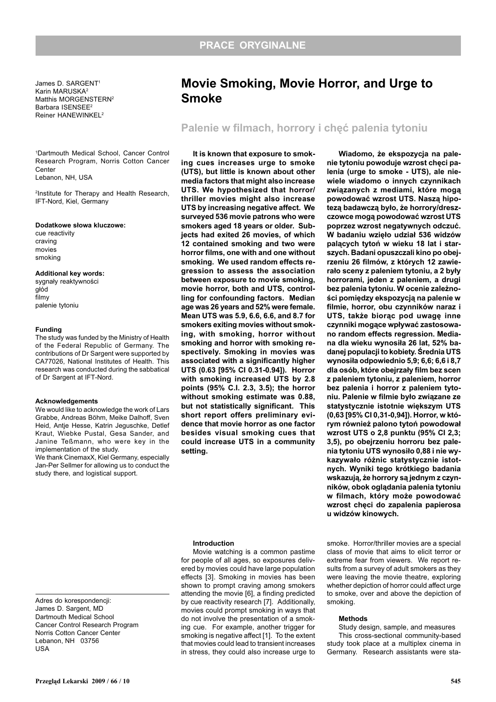Adres do korespondencji: James D. Sargent, MD Dartmouth Medical School Cancer Control Research Program Norris Cotton Cancer Center Lebanon, NH 03756

USA

James D. SARGENT1 Karin MARUSKA2 Matthis MORGENSTERN<sup>2</sup> Barbara ISENSEE2 Reiner HANEWINKEL2

1 Dartmouth Medical School, Cancer Control Research Program, Norris Cotton Cancer Center Lebanon, NH, USA

2 Institute for Therapy and Health Research, IFT-Nord, Kiel, Germany

## Dodatkowe słowa kluczowe:

cue reactivity craving movies smoking

## Additional key words:

sygnały reaktywności głód filmy palenie tytoniu

#### Funding

The study was funded by the Ministry of Health of the Federal Republic of Germany. The contributions of Dr Sargent were supported by CA77026, National Institutes of Health. This research was conducted during the sabbatical of Dr Sargent at IFT-Nord.

#### Acknowledgements

We would like to acknowledge the work of Lars Grabbe, Andreas Böhm, Meike Dalhoff, Sven Heid, Antie Hesse, Katrin Jeguschke, Detlef Kraut, Wiebke Pustal, Gesa Sander, and Janine Teßmann, who were key in the implementation of the study.

We thank CinemaxX, Kiel Germany, especially Jan-Per Sellmer for allowing us to conduct the study there, and logistical support.

# Movie Smoking, Movie Horror, and Urge to Smoke

## Palenie w filmach, horrory i chęć palenia tytoniu

It is known that exposure to smoking cues increases urge to smoke (UTS), but little is known about other media factors that might also increase UTS. We hypothesized that horror/ thriller movies might also increase UTS by increasing negative affect. We surveyed 536 movie patrons who were smokers aged 18 years or older. Subjects had exited 26 movies, of which 12 contained smoking and two were horror films, one with and one without smoking. We used random effects regression to assess the association between exposure to movie smoking, movie horror, both and UTS, controlling for confounding factors. Median age was 26 years and 52% were female. Mean UTS was 5.9, 6.6, 6.6, and 8.7 for smokers exiting movies without smoking, with smoking, horror without smoking and horror with smoking respectively. Smoking in movies was associated with a significantly higher UTS (0.63 [95% CI 0.31-0.94]). Horror with smoking increased UTS by 2.8 points (95% C.I. 2.3, 3.5); the horror without smoking estimate was 0.88, but not statistically significant. This short report offers preliminary evidence that movie horror as one factor besides visual smoking cues that could increase UTS in a community setting.

Wiadomo, że ekspozycja na palenie tytoniu powoduje wzrost chęci palenia (urge to smoke - UTS), ale niewiele wiadomo o innych czynnikach związanych z mediami, które mogą powodować wzrost UTS. Nasza hipoteza badawczą było, że horrory/dreszczowce mogą powodować wzrost UTS poprzez wzrost negatywnych odczuć. W badaniu wzięło udział 536 widzów palacych tytoń w wieku 18 lat i starszych. Badani opuszczali kino po obejrzeniu 26 filmów, z których 12 zawierało sceny z paleniem tytoniu, a 2 były horrorami, jeden z paleniem, a drugi bez palenia tytoniu. W ocenie zależności pomiędzy ekspozycją na palenie w filmie, horror, obu czynników naraz i UTS, także biorac pod uwage inne czynniki mogace wpływać zastosowano random effects regression. Mediana dla wieku wynosiła 26 lat, 52% badanej populacji to kobiety. Średnia UTS wynosiła odpowiednio 5,9; 6,6; 6,6 i 8,7 dla osób, które obejrzały film bez scen z paleniem tytoniu, z paleniem, horror bez palenia i horror z paleniem tytoniu. Palenie w filmie było związane ze statystycznie istotnie większym UTS (0,63 [95% CI 0,31-0,94]). Horror, w którym również palono tytoń powodował wzrost UTS o 2,8 punktu (95% CI 2,3; 3,5), po obejrzeniu horroru bez palenia tytoniu UTS wynosiło 0,88 i nie wykazywało różnic statystycznie istotnych. Wyniki tego krótkiego badania wskazują, że horrory są jednym z czynników, obok oglądania palenia tytoniu w filmach, który może powodować wzrost chęci do zapalenia papierosa u widzów kinowych.

#### Introduction

Movie watching is a common pastime for people of all ages, so exposures delivered by movies could have large population effects [3]. Smoking in movies has been shown to prompt craving among smokers attending the movie [6], a finding predicted by cue reactivity research [7]. Additionally, movies could prompt smoking in ways that do not involve the presentation of a smoking cue. For example, another trigger for smoking is negative affect [1]. To the extent that movies could lead to transient increases in stress, they could also increase urge to

smoke. Horror/thriller movies are a special class of movie that aims to elicit terror or extreme fear from viewers. We report results from a survey of adult smokers as they were leaving the movie theatre, exploring whether depiction of horror could affect urge to smoke, over and above the depiction of smoking.

#### Methods

Study design, sample, and measures This cross-sectional community-based study took place at a multiplex cinema in Germany. Research assistants were sta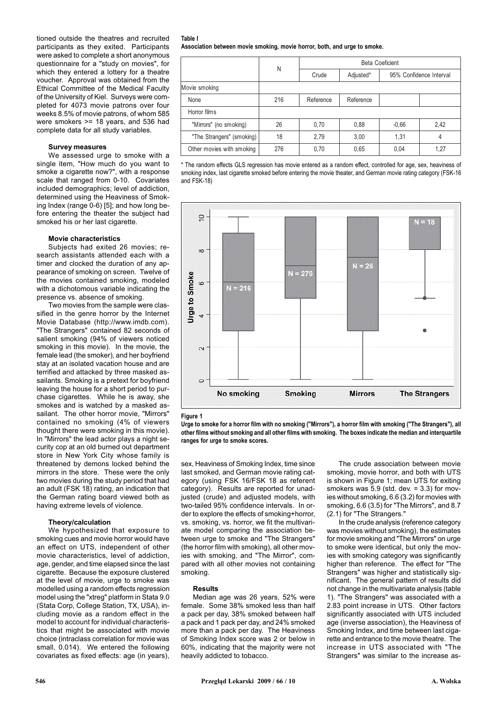tioned outside the theatres and recruited participants as they exited. Participants were asked to complete a short anonymous questionnaire for a "study on movies", for which they entered a lottery for a theatre voucher. Approval was obtained from the Ethical Committee of the Medical Faculty of the University of Kiel. Surveys were completed for 4073 movie patrons over four weeks 8.5% of movie patrons, of whom 585 were smokers >= 18 years, and 536 had complete data for all study variables.

## Survey measures

We assessed urge to smoke with a single item, "How much do you want to smoke a cigarette now?", with a response scale that ranged from 0-10. Covariates included demographics; level of addiction, determined using the Heaviness of Smoking Index (range 0-6) [5]; and how long before entering the theater the subject had smoked his or her last cigarette.

## Movie characteristics

Subjects had exited 26 movies; research assistants attended each with a timer and clocked the duration of any appearance of smoking on screen. Twelve of the movies contained smoking, modeled with a dichotomous variable indicating the presence vs. absence of smoking.

Two movies from the sample were classified in the genre horror by the Internet Movie Database (http://www.imdb.com). "The Strangers" contained 82 seconds of salient smoking (94% of viewers noticed smoking in this movie). In the movie, the female lead (the smoker), and her boyfriend stay at an isolated vacation house and are terrified and attacked by three masked assailants. Smoking is a pretext for boyfriend leaving the house for a short period to purchase cigarettes. While he is away, she smokes and is watched by a masked assailant. The other horror movie, "Mirrors" contained no smoking (4% of viewers thought there were smoking in this movie). In "Mirrors" the lead actor plays a night security cop at an old burned out department store in New York City whose family is threatened by demons locked behind the mirrors in the store. These were the only two movies during the study period that had an adult (FSK 18) rating, an indication that the German rating board viewed both as having extreme levels of violence.

## Theory/calculation

We hypothesized that exposure to smoking cues and movie horror would have an effect on UTS, independent of other movie characteristics, level of addiction, age, gender, and time elapsed since the last cigarette. Because the exposure clustered at the level of movie, urge to smoke was modelled using a random effects regression model using the "xtreg" platform in Stata 9.0 (Stata Corp, College Station, TX, USA), including movie as a random effect in the model to account for individual characteristics that might be associated with movie choice (intraclass correlation for movie was small, 0.014). We entered the following covariates as fixed effects: age (in years),

Table I Association between movie smoking, movie horror, both, and urge to smoke.

|     | Beta Coeficient |           |                         |      |
|-----|-----------------|-----------|-------------------------|------|
|     | Crude           | Adjusted* | 95% Confidence Interval |      |
|     |                 |           |                         |      |
| 216 | Reference       | Reference |                         |      |
|     |                 |           |                         |      |
| 26  | 0,70            | 0,88      | $-0.66$                 | 2,42 |
| 18  | 2,79            | 3,00      | 1.31                    | 4    |
| 276 | 0,70            | 0,65      | 0.04                    | 1,27 |
|     | Ν               |           |                         |      |

\* The random effects GLS regression has movie entered as a random effect, controlled for age, sex, heaviness of smoking index, last cigarette smoked before entering the movie theater, and German movie rating category (FSK-16 and FSK-18)



Figure 1

Urge to smoke for a horror film with no smoking ("Mirrors"), a horror film with smoking ("The Strangers"), all other films without smoking and all other films with smoking. The boxes indicate the median and interquartile ranges for urge to smoke scores.

sex, Heaviness of Smoking Index, time since last smoked, and German movie rating category (using FSK 16/FSK 18 as referent category). Results are reported for unadjusted (crude) and adjusted models, with two-tailed 95% confidence intervals. In order to explore the effects of smoking+horror, vs. smoking, vs. horror, we fit the multivariate model comparing the association between urge to smoke and "The Strangers" (the horror film with smoking), all other movies with smoking, and "The Mirror", compared with all other movies not containing smoking.

#### Results

Median age was 26 years, 52% were female. Some 38% smoked less than half a pack per day, 38% smoked between half a pack and 1 pack per day, and 24% smoked more than a pack per day. The Heaviness of Smoking Index score was 2 or below in 60%, indicating that the majority were not heavily addicted to tobacco.

The crude association between movie smoking, movie horror, and both with UTS is shown in Figure 1; mean UTS for exiting smokers was  $5.9$  (std. dev. =  $3.3$ ) for movies without smoking, 6.6 (3.2) for movies with smoking, 6.6 (3.5) for "The Mirrors", and 8.7 (2.1) for "The Strangers."

In the crude analysis (reference category was movies without smoking), the estimates for movie smoking and "The Mirrors" on urge to smoke were identical, but only the movies with smoking category was significantly higher than reference. The effect for "The Strangers" was higher and statistically significant. The general pattern of results did not change in the multivariate analysis (table 1). "The Strangers" was associated with a 2.83 point increase in UTS. Other factors significantly associated with UTS included age (inverse association), the Heaviness of Smoking Index, and time between last cigarette and entrance to the movie theatre. The increase in UTS associated with "The Strangers" was similar to the increase as-